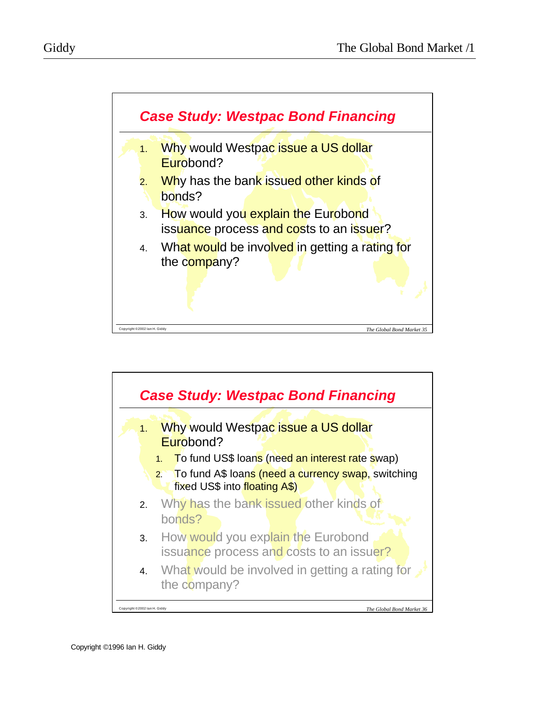



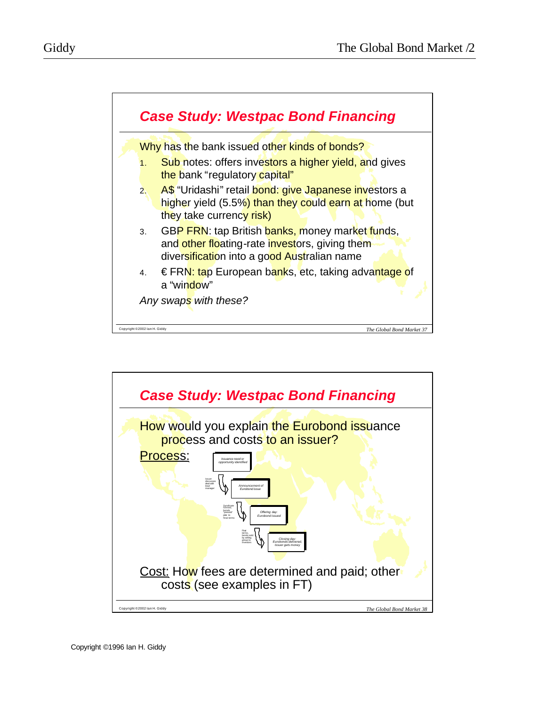

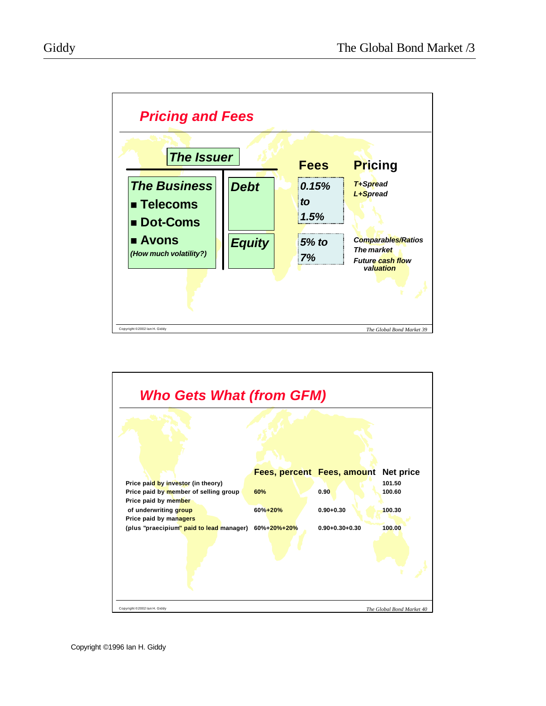

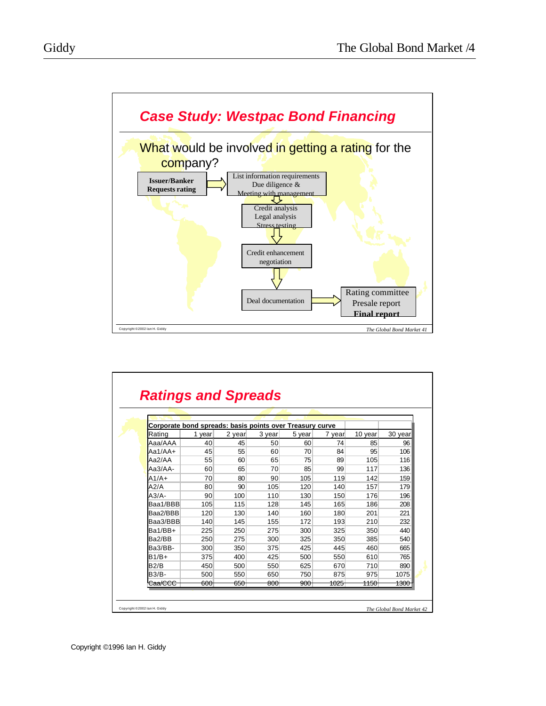

| Corporate bond spreads: basis points over Treasury curve |                  |                  |                |                |                 |                 |                 |
|----------------------------------------------------------|------------------|------------------|----------------|----------------|-----------------|-----------------|-----------------|
| Rating                                                   | 1 year           | 2 year           | 3 year         | 5 year         | 7 year          | 10 year         | 30 year         |
| Aaa/AAA                                                  | 40               | 45               | 50             | 60             | 74              | 85              | 96              |
| $Aa1/AA+$                                                | 45               | 55               | 60             | 70             | 84              | 95              | 106             |
| Aa2/AA                                                   | 55               | 60               | 65             | 75             | 89              | 105             | 116             |
| $Aa3/AA-$                                                | 60               | 65               | 70             | 85             | 99              | 117             | 136             |
| $A1/A+$                                                  | 70               | 80               | 90             | 105            | 119             | 142             | 159             |
| A2/A                                                     | 80               | 90               | 105            | 120            | 140             | 157             | 179             |
| $A3/A$ -                                                 | 90               | 100              | 110            | 130            | 150             | 176             | 196             |
| Baa1/BBB                                                 | 105              | 115              | 128            | 145            | 165             | 186             | 208             |
| Baa2/BBB                                                 | 120              | 130              | 140            | 160            | 180             | 201             | 221             |
| Baa3/BBB                                                 | 140              | 145              | 155            | 172            | 193             | 210             | 232             |
| Ba1/BB+                                                  | 225              | 250              | 275            | 300            | 325             | 350             | 440             |
| Ba2/BB                                                   | 250              | 275              | 300            | 325            | 350             | 385             | 540             |
| Ba3/BB-                                                  | 300              | 350              | 375            | 425            | 445             | 460             | 665             |
| $B1/B+$                                                  | 375              | 400              | 425            | 500            | 550             | 610             | 765             |
| B2/B                                                     | 450              | 500              | 550            | 625            | 670             | 710             | 890             |
| <b>B3/B-</b>                                             | 500              | 550              | 650            | 750            | 875             | 975             | 1075            |
| <del>Caa/CCC</del>                                       | <del>600 -</del> | <del>650  </del> | <del>800</del> | <del>900</del> | <del>1025</del> | <del>1150</del> | <del>1300</del> |